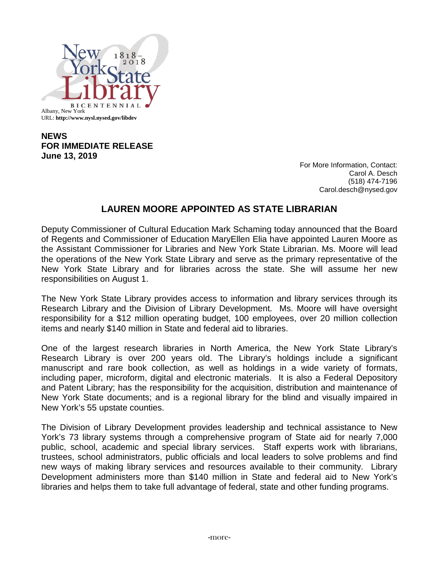

## **NEWS FOR IMMEDIATE RELEASE June 13, 2019**

For More Information, Contact: Carol A. Desch (518) 474-7196 Carol.desch@nysed.gov

## **LAUREN MOORE APPOINTED AS STATE LIBRARIAN**

Deputy Commissioner of Cultural Education Mark Schaming today announced that the Board of Regents and Commissioner of Education MaryEllen Elia have appointed Lauren Moore as the Assistant Commissioner for Libraries and New York State Librarian. Ms. Moore will lead the operations of the New York State Library and serve as the primary representative of the New York State Library and for libraries across the state. She will assume her new responsibilities on August 1.

The New York State Library provides access to information and library services through its Research Library and the Division of Library Development. Ms. Moore will have oversight responsibility for a \$12 million operating budget, 100 employees, over 20 million collection items and nearly \$140 million in State and federal aid to libraries.

One of the largest research libraries in North America, the New York State Library's Research Library is over 200 years old. The Library's holdings include a significant manuscript and rare book collection, as well as holdings in a wide variety of formats, including paper, microform, digital and electronic materials. It is also a Federal Depository and Patent Library; has the responsibility for the acquisition, distribution and maintenance of New York State documents; and is a regional library for the blind and visually impaired in New York's 55 upstate counties.

The Division of Library Development provides leadership and technical assistance to New York's 73 library systems through a comprehensive program of State aid for nearly 7,000 public, school, academic and special library services. Staff experts work with librarians, trustees, school administrators, public officials and local leaders to solve problems and find new ways of making library services and resources available to their community. Library Development administers more than \$140 million in State and federal aid to New York's libraries and helps them to take full advantage of federal, state and other funding programs.